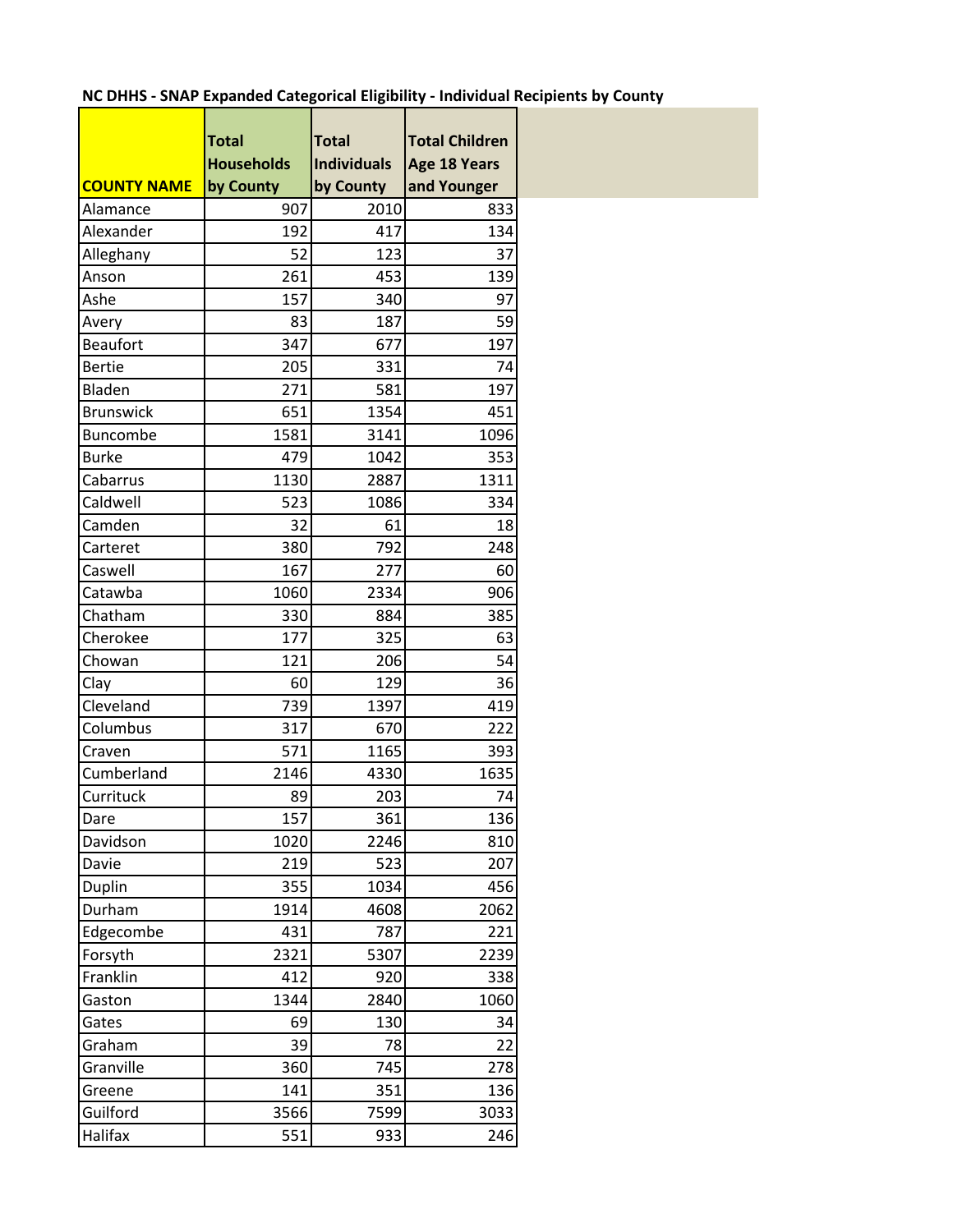## **NC DHHS - SNAP Expanded Categorical Eligibility - Individual Recipients by County** r

|                    | <b>Total</b>      | <b>Total</b>       | <b>Total Children</b> |
|--------------------|-------------------|--------------------|-----------------------|
|                    | <b>Households</b> | <b>Individuals</b> | Age 18 Years          |
| <b>COUNTY NAME</b> | by County         | by County          | and Younger           |
| Alamance           | 907               | 2010               | 833                   |
| Alexander          | 192               | 417                | 134                   |
| Alleghany          | 52                | 123                | 37                    |
| Anson              | 261               | 453                | 139                   |
| Ashe               | 157               | 340                | 97                    |
| Avery              | 83                | 187                | 59                    |
| <b>Beaufort</b>    | 347               | 677                | 197                   |
| <b>Bertie</b>      | 205               | 331                | 74                    |
| Bladen             | 271               | 581                | 197                   |
| <b>Brunswick</b>   | 651               | 1354               | 451                   |
| Buncombe           | 1581              | 3141               | 1096                  |
| <b>Burke</b>       | 479               | 1042               | 353                   |
| Cabarrus           | 1130              | 2887               | 1311                  |
| Caldwell           | 523               | 1086               | 334                   |
| Camden             | 32                | 61                 | 18                    |
| Carteret           | 380               | 792                | 248                   |
| Caswell            | 167               | 277                | 60                    |
| Catawba            | 1060              | 2334               | 906                   |
| Chatham            | 330               | 884                | 385                   |
| Cherokee           | 177               | 325                | 63                    |
| Chowan             | 121               | 206                | 54                    |
| Clay               | 60                | 129                | 36                    |
| Cleveland          | 739               | 1397               | 419                   |
| Columbus           | 317               | 670                | 222                   |
| Craven             | 571               | 1165               | 393                   |
| Cumberland         | 2146              | 4330               | 1635                  |
| Currituck          | 89                | 203                | 74                    |
| Dare               | 157               | 361                | 136                   |
| Davidson           | 1020              | 2246               | 810                   |
| Davie              | 219               | 523                | 207                   |
| Duplin             | 355               | 1034               | 456                   |
| Durham             | 1914              | 4608               | 2062                  |
| Edgecombe          | 431               | 787                | 221                   |
| Forsyth            | 2321              | 5307               | 2239                  |
| Franklin           | 412               | 920                | 338                   |
| Gaston             | 1344              | 2840               | 1060                  |
| Gates              | 69                | 130                | 34                    |
| Graham             | 39                | 78                 | 22                    |
| Granville          | 360               | 745                | 278                   |
| Greene             | 141               | 351                | 136                   |
| Guilford           | 3566              | 7599               | 3033                  |
| Halifax            | 551               | 933                | 246                   |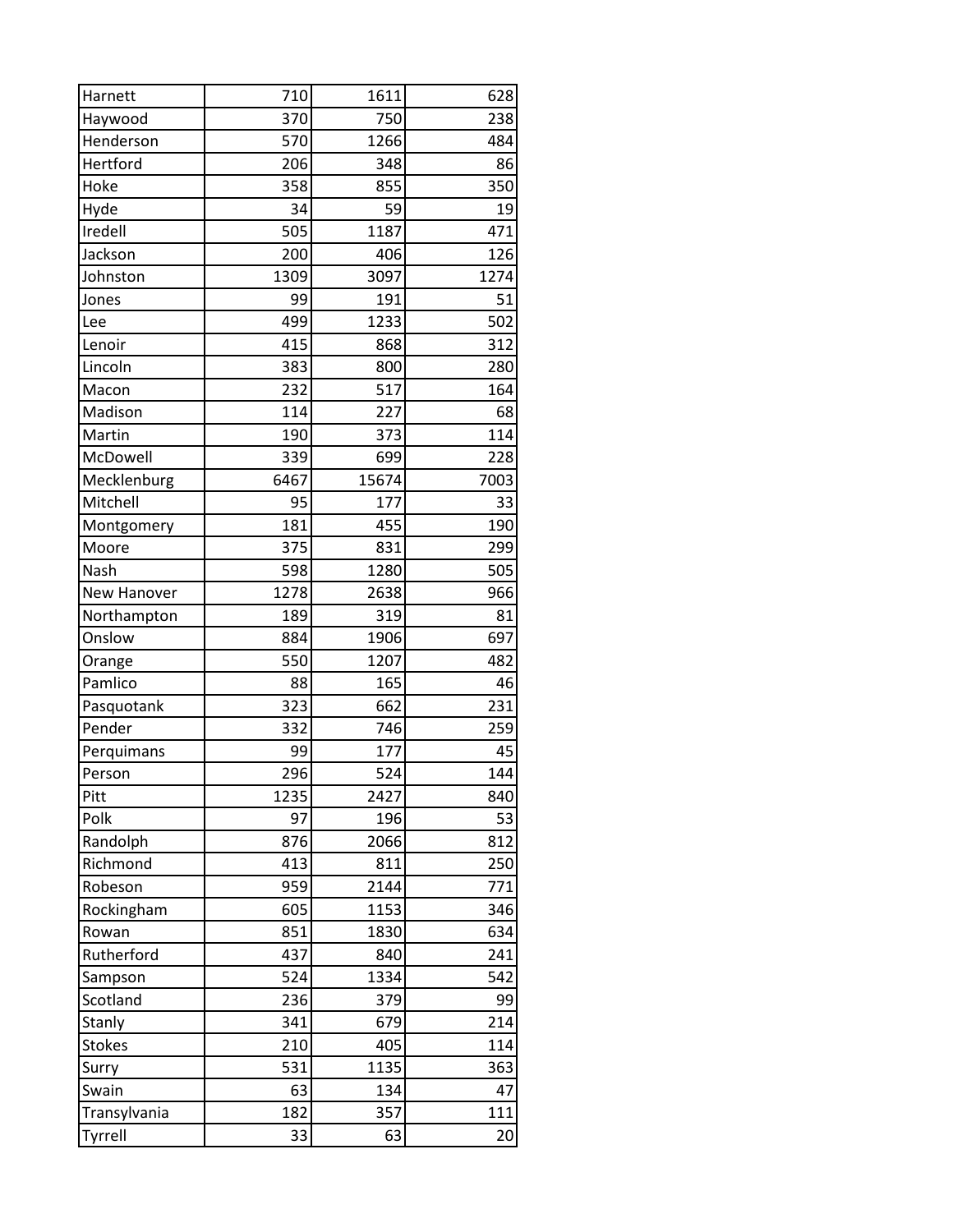| Harnett       | 710  | 1611  | 628  |
|---------------|------|-------|------|
| Haywood       | 370  | 750   | 238  |
| Henderson     | 570  | 1266  | 484  |
| Hertford      | 206  | 348   | 86   |
| Hoke          | 358  | 855   | 350  |
| Hyde          | 34   | 59    | 19   |
| Iredell       | 505  | 1187  | 471  |
| Jackson       | 200  | 406   | 126  |
| Johnston      | 1309 | 3097  | 1274 |
| Jones         | 99   | 191   | 51   |
| Lee           | 499  | 1233  | 502  |
| Lenoir        | 415  | 868   | 312  |
| Lincoln       | 383  | 800   | 280  |
| Macon         | 232  | 517   | 164  |
| Madison       | 114  | 227   | 68   |
| Martin        | 190  | 373   | 114  |
| McDowell      | 339  | 699   | 228  |
| Mecklenburg   | 6467 | 15674 | 7003 |
| Mitchell      | 95   | 177   | 33   |
| Montgomery    | 181  | 455   | 190  |
| Moore         | 375  | 831   | 299  |
| Nash          | 598  | 1280  | 505  |
| New Hanover   | 1278 | 2638  | 966  |
| Northampton   | 189  | 319   | 81   |
| Onslow        | 884  | 1906  | 697  |
| Orange        | 550  | 1207  | 482  |
| Pamlico       | 88   | 165   | 46   |
| Pasquotank    | 323  | 662   | 231  |
| Pender        | 332  | 746   | 259  |
| Perquimans    | 99   | 177   | 45   |
| Person        | 296  | 524   | 144  |
| Pitt          | 1235 | 2427  | 840  |
| Polk          | 97   | 196   | 53   |
| Randolph      | 876  | 2066  | 812  |
| Richmond      | 413  | 811   | 250  |
| Robeson       | 959  | 2144  | 771  |
| Rockingham    | 605  | 1153  | 346  |
| Rowan         | 851  | 1830  | 634  |
| Rutherford    | 437  | 840   | 241  |
| Sampson       | 524  | 1334  | 542  |
| Scotland      | 236  | 379   | 99   |
| Stanly        | 341  | 679   | 214  |
| <b>Stokes</b> | 210  | 405   | 114  |
| Surry         | 531  | 1135  | 363  |
| Swain         | 63   | 134   | 47   |
| Transylvania  | 182  | 357   | 111  |
| Tyrrell       | 33   | 63    | 20   |